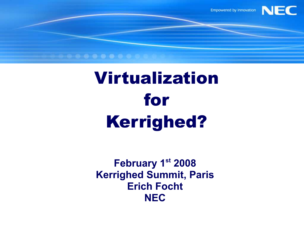

# Virtualization for Kerrighed?

**February 1st 2008 Kerrighed Summit, Paris Erich Focht NEC**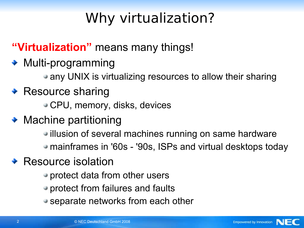# Why virtualization?

**"Virtualization"** means many things!

- Multi-programming
	- any UNIX is virtualizing resources to allow their sharing

#### ◆ Resource sharing

- CPU, memory, disks, devices
- ◆ Machine partitioning
	- illusion of several machines running on same hardware
	- mainframes in '60s '90s, ISPs and virtual desktops today
- Resource isolation
	- protect data from other users
	- protect from failures and faults
	- separate networks from each other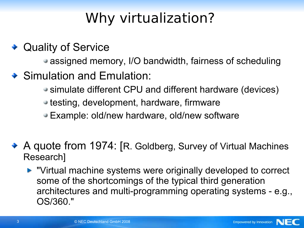# Why virtualization?

◆ Quality of Service

• assigned memory, I/O bandwidth, fairness of scheduling

- ◆ Simulation and Emulation:
	- simulate different CPU and different hardware (devices)
	- testing, development, hardware, firmware
	- Example: old/new hardware, old/new software
- ◆ A quote from 1974: [R. Goldberg, Survey of Virtual Machines Research]
	- **Now The Times is allocate that in Artic Systems were originally developed to correct** some of the shortcomings of the typical third generation architectures and multi-programming operating systems - e.g., OS/360."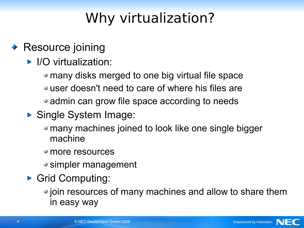# Why virtualization?

#### ◆ Resource joining

- ▶ I/O virtualization:
	- many disks merged to one big virtual file space
	- user doesn't need to care of where his files are
	- admin can grow file space according to needs
- ▶ Single System Image:
	- many machines joined to look like one single bigger machine
	- more resources
	- simpler management
- Grid Computing:
	- join resources of many machines and allow to share them in easy way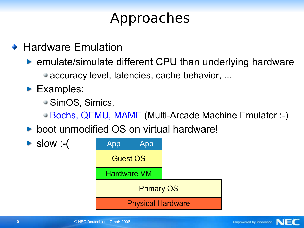- ◆ Hardware Emulation
	- ► emulate/simulate different CPU than underlying hardware
		- accuracy level, latencies, cache behavior, ...
	- **Examples:** 
		- SimOS, Simics,
		- Bochs, QEMU, MAME (Multi-Arcade Machine Emulator :-)
	- **boot unmodified OS on virtual hardware!**

 $\blacktriangleright$  slow :-(

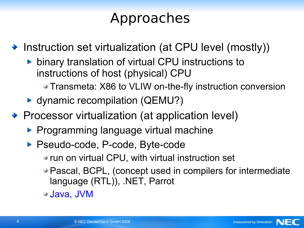◆ Instruction set virtualization (at CPU level (mostly))

- **binary translation of virtual CPU instructions to** instructions of host (physical) CPU
	- Transmeta: X86 to VLIW on-the-fly instruction conversion
- ► dynamic recompilation (QEMU?)
- ◆ Processor virtualization (at application level)
	- **Programming language virtual machine**
	- ▶ Pseudo-code, P-code, Byte-code
		- run on virtual CPU, with virtual instruction set
		- Pascal, BCPL, (concept used in compilers for intermediate language (RTL)), .NET, Parrot
		- Java, JVM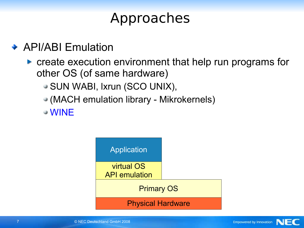**◆ API/ABI Emulation** 

- **Create execution environment that help run programs for** other OS (of same hardware)
	- SUN WABI, lxrun (SCO UNIX),
	- (MACH emulation library Mikrokernels)

WINE



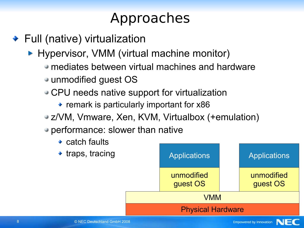◆ Full (native) virtualization

▶ Hypervisor, VMM (virtual machine monitor)

- mediates between virtual machines and hardware
- unmodified guest OS
- CPU needs native support for virtualization
	- remark is particularly important for x86
- z/VM, Vmware, Xen, KVM, Virtualbox (+emulation)
- performance: slower than native
	- $\rightarrow$  catch faults
	- $\rightarrow$  traps, tracing

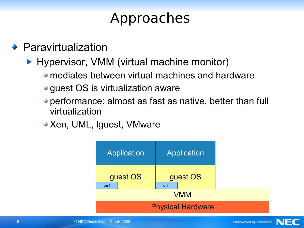- **◆ Paravirtualization** 
	- **Hypervisor, VMM (virtual machine monitor)** 
		- mediates between virtual machines and hardware
		- guest OS is virtualization aware
		- performance: almost as fast as native, better than full virtualization
		- Xen, UML, Iguest, VMware

| Application              | Application      |  |  |  |  |
|--------------------------|------------------|--|--|--|--|
| guest OS<br>virt         | guest OS<br>virt |  |  |  |  |
| <b>VMM</b>               |                  |  |  |  |  |
| <b>Physical Hardware</b> |                  |  |  |  |  |

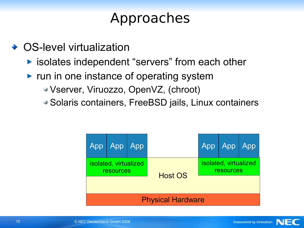- ◆ OS-level virtualization
	- $\blacktriangleright$  **isolates independent "servers" from each other**
	- run in one instance of operating system
		- Vserver, Viruozzo, OpenVZ, (chroot)
		- Solaris containers, FreeBSD jails, Linux containers

| App                                                  | App App |  |  | App                                | App | App |  |  |
|------------------------------------------------------|---------|--|--|------------------------------------|-----|-----|--|--|
| isolated, virtualized<br>resources<br><b>Host OS</b> |         |  |  | isolated, virtualized<br>resources |     |     |  |  |
| <b>Physical Hardware</b>                             |         |  |  |                                    |     |     |  |  |

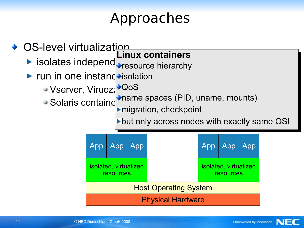- ◆ OS-level virtualization
	- isolates independ **Figure Content of Servers Linux containers**
	- run in one instand→isolation
		- Vserver, Viruozz<sup>o, QoS</sup>
			- Solaris containe<sup>rmanne</sup> spaces (FTD, unanne, mounts) name spaces (PID, uname, mounts)

migration, checkpoint

but only across nodes with exactly same OS!

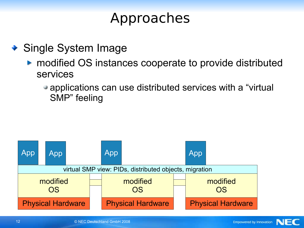- ◆ Single System Image
	- ▶ modified OS instances cooperate to provide distributed services
		- applications can use distributed services with a "virtual SMP" feeling

Empowered by Innovation

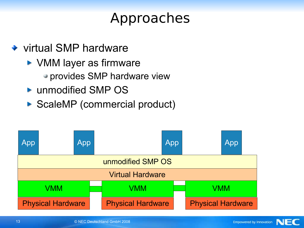- ◆ virtual SMP hardware
	- ▶ VMM layer as firmware
		- provides SMP hardware view
	- ▶ unmodified SMP OS
	- ▶ ScaleMP (commercial product)

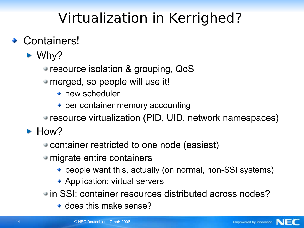#### **← Containers!**

- Why?
	- resource isolation & grouping, QoS
	- merged, so people will use it!
		- ◆ new scheduler
		- per container memory accounting
	- resource virtualization (PID, UID, network namespaces)
- How?
	- container restricted to one node (easiest)
	- migrate entire containers
		- people want this, actually (on normal, non-SSI systems)
		- ◆ Application: virtual servers
	- in SSI: container resources distributed across nodes?
		- $\bullet$  does this make sense?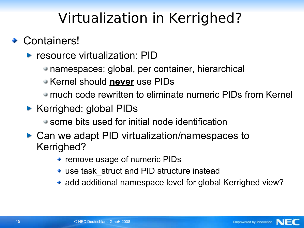#### **← Containers!**

- **P** resource virtualization: PID
	- namespaces: global, per container, hierarchical
	- Kernel should **never** use PIDs
	- much code rewritten to eliminate numeric PIDs from Kernel
- ▶ Kerrighed: global PIDs
	- some bits used for initial node identification
- ► Can we adapt PID virtualization/namespaces to Kerrighed?
	- remove usage of numeric PIDs
	- use task struct and PID structure instead
	- add additional namespace level for global Kerrighed view?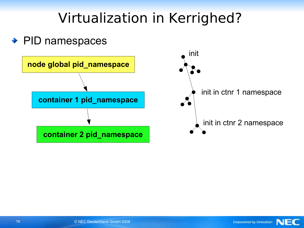#### **◆ PID namespaces**



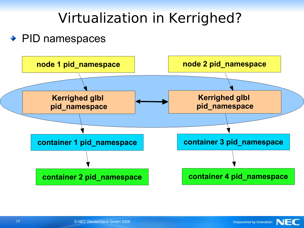#### ◆ PID namespaces



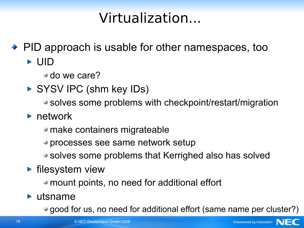### Virtualization...

• PID approach is usable for other namespaces, too

UID

do we care?

- SYSV IPC (shm key IDs)
	- solves some problems with checkpoint/restart/migration
- **•** network
	- make containers migrateable
	- processes see same network setup
	- solves some problems that Kerrighed also has solved
- **Filesystem view** 
	- mount points, no need for additional effort
- **Lutsname** 
	- good for us, no need for additional effort (same name per cluster?)